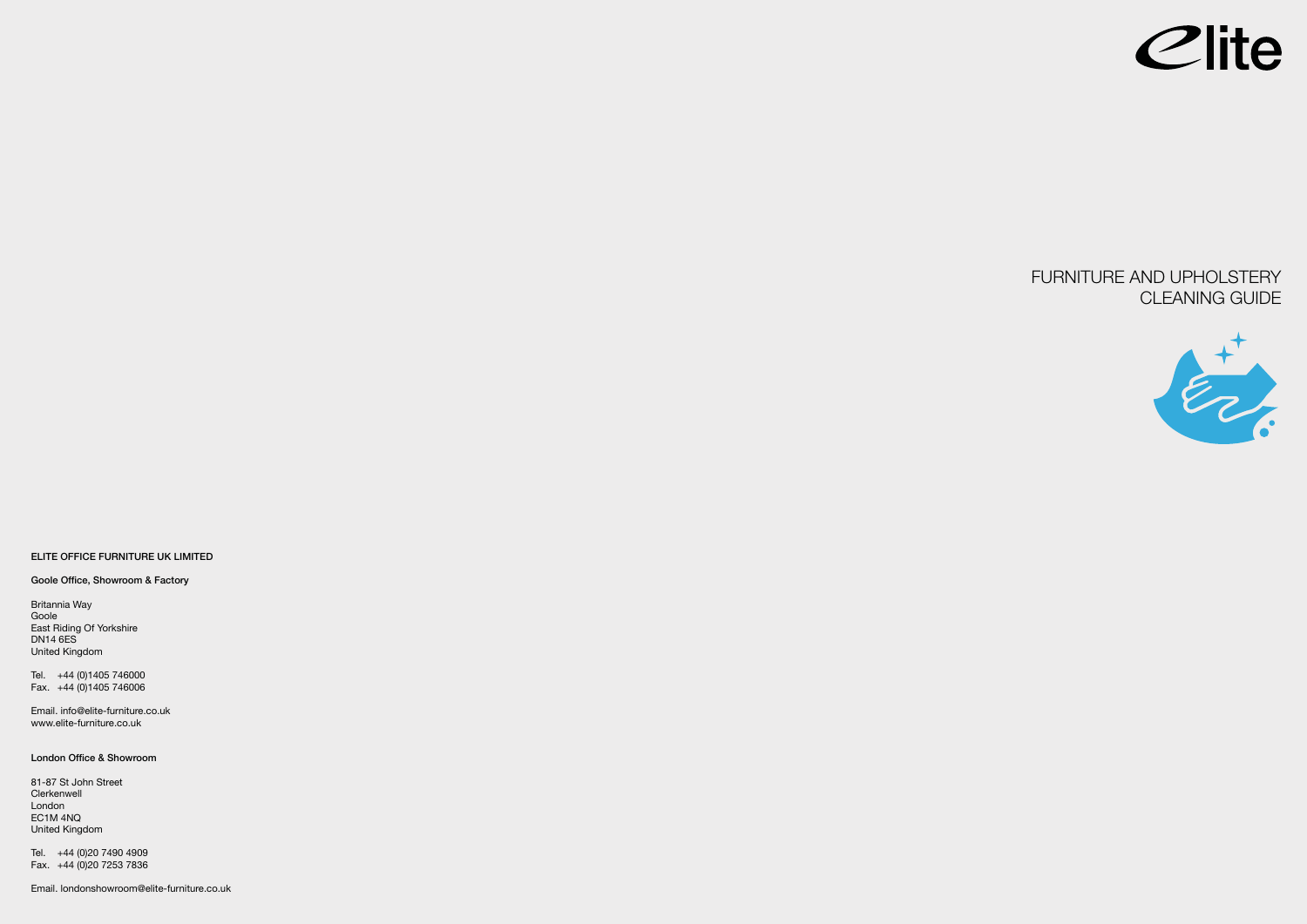# FURNITURE AND UPHOLSTERY CLEANING GUIDE



#### **ELITE OFFICE FURNITURE UK LIMITED**

**Goole Office, Showroom & Factory**

Britannia Way Goole East Riding Of Yorkshire DN14 6ES United Kingdom

Tel. +44 (0)1405 746000 Fax. +44 (0)1405 746006

Email. info@elite-furniture.co.uk www.elite-furniture.co.uk

#### **London Office & Showroom**

81-87 St John Street **Clerkenwell** London EC1M 4NQ United Kingdom

Tel. +44 (0)20 7490 4909 Fax. +44 (0)20 7253 7836

Email. londonshowroom@elite-furniture.co.uk

Clite